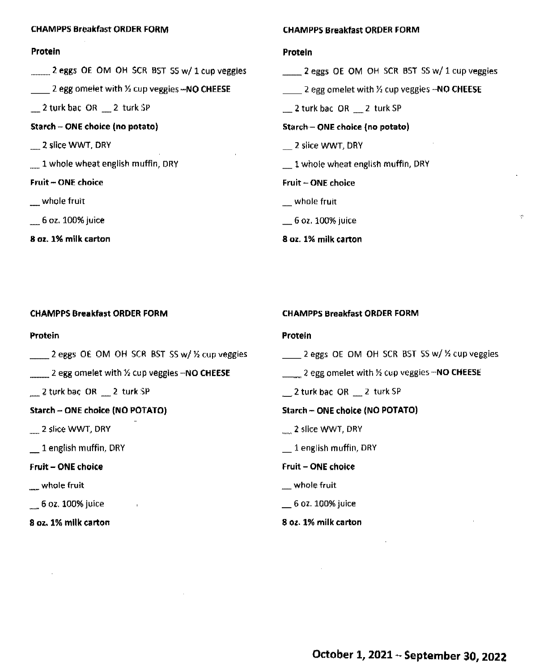| <b>CHAMPPS Breakfast ORDER FORM</b>                                 | <b>CHAMPPS Breakfast ORDER FORM</b>                             |
|---------------------------------------------------------------------|-----------------------------------------------------------------|
| Protein                                                             | Protein                                                         |
| 2 eggs OE OM OH SCR BST SS w/ 1 cup veggies                         | $\frac{1}{2}$ eggs OE OM OH SCR BST SS w/ 1 cup veggies         |
| 2 egg omeiet with $\frac{1}{2}$ cup veggies $\rightarrow$ NO CHEESE | 2 egg omelet with $\frac{1}{2}$ cup veggies $-\text{NO}$ CHEESE |
| $\equiv$ 2 turk bac OR $\equiv$ 2 turk SP                           | $\frac{1}{2}$ turk bac OR $\frac{1}{2}$ turk SP                 |
| Starch – ONE choice (no potato)                                     | Starch - ONE choice (no potato)                                 |
| 2 slice WWT, DRY                                                    | 2 slice WWT, DRY                                                |
| 1 whole wheat english muffin, DRY                                   | $\pm$ 1 whole wheat english muffin, DRY                         |
| <b>Fruit-ONE choice</b>                                             | <b>Fruit - ONE choice</b>                                       |
| whole fruit                                                         | whole fruit                                                     |
| $= 6$ oz. 100% juice                                                | $=$ 6 oz. 100% juice                                            |
| 8 oz. 1% milk carton                                                | 8 oz. 1% milk carton                                            |

| <b>CHAMPPS Breakfast ORDER FORM</b> |  |
|-------------------------------------|--|
|                                     |  |

**Protein** 

- 2 eggs OE OM OH SCR BST SS w/ ½ cup veggies
- \_\_ 2 egg omelet with½ cup veggies **-NO CHEESE**

\_ 2 turk bac OR \_ 2 turk SP

**Starch** - **ONE choice (NO POTATO)** 

2 slice WWT, DRY

\_ 1 english muffin, DRY

**Fruit** - **ONE choice** 

whole fruit

 $-$  6 oz. 100% juice

**8 oz. 1% milk carton** 

#### **CHAM PPS Breakfast ORDER FORM**

#### **Protein**

 $\frac{1}{2}$  eggs OE OM OH SCR BST SS w/ % cup veggies

<sup>19</sup>

- \_\_ Z egg omelet with½ cup veggies **-NO CHEESE**
- $2$  turk bac OR  $2$  turk SP

## **Starch** - **ONE choice (NO POTATO)**

- \_ **2** slice WWT, DRY
- $-$  1 english muffin, DRY

### **fruit** - **ONE choice**

- \_\_ whole fruit
- $\_$  6 oz. 100% juice

### **8 oz. 1% milk carton**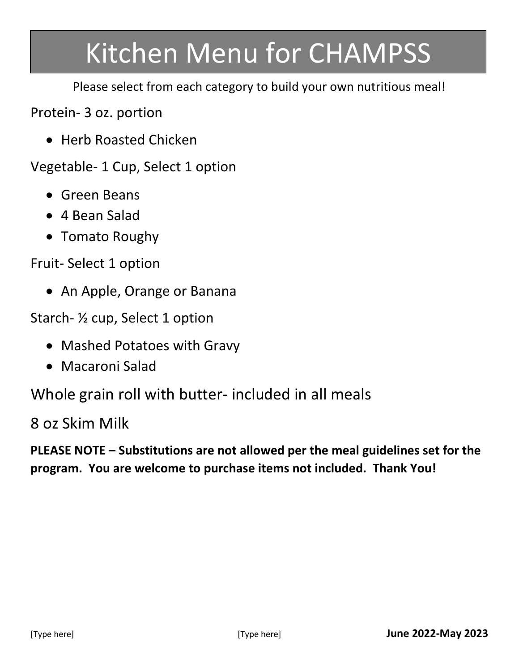# Kitchen Menu for CHAMPSS

Please select from each category to build your own nutritious meal!

Protein- 3 oz. portion

• Herb Roasted Chicken

Vegetable- 1 Cup, Select 1 option

- Green Beans
- 4 Bean Salad
- Tomato Roughy

Fruit- Select 1 option

• An Apple, Orange or Banana

Starch- ½ cup, Select 1 option

- Mashed Potatoes with Gravy
- Macaroni Salad

Whole grain roll with butter- included in all meals

8 oz Skim Milk

**PLEASE NOTE – Substitutions are not allowed per the meal guidelines set for the program. You are welcome to purchase items not included. Thank You!**